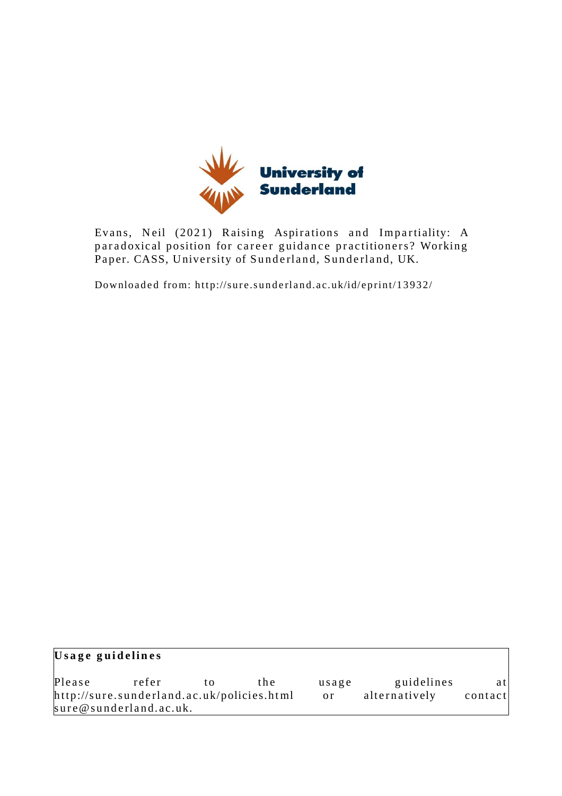

Evans, Neil (2021) Raising Aspirations and Impartiality: A paradoxical position for career guidance practitioners? Working Paper. CASS, University of Sunderland, Sunderland, UK.

Downloaded from: http://sure.sunderland.ac.uk/id/eprint/13932/

| Usage guidelines                           |                        |    |       |               |               |         |
|--------------------------------------------|------------------------|----|-------|---------------|---------------|---------|
| Please                                     | refer                  | tΩ | t h e | usage         | guidelines    | atl     |
| http://sure.sunderland.ac.uk/policies.html |                        |    |       | <sub>or</sub> | alternatively | contact |
|                                            | sure@sunderland.ac.uk. |    |       |               |               |         |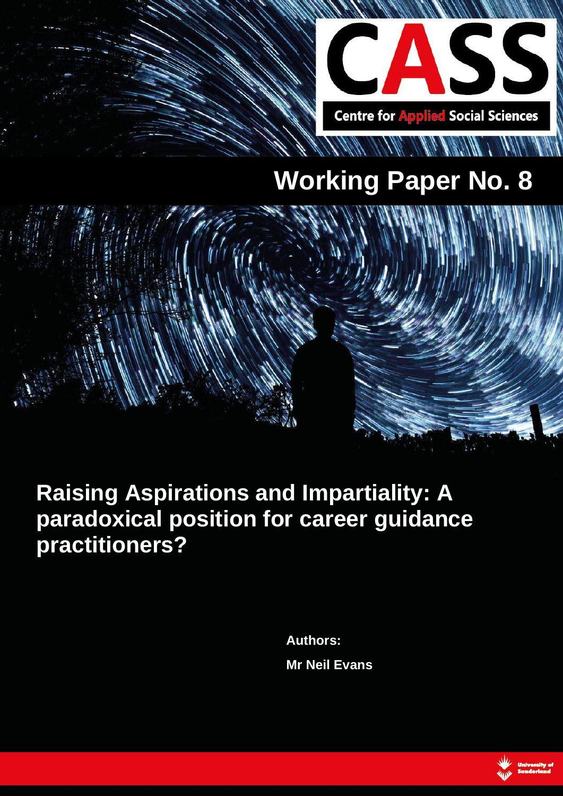

# **Working Paper No. 8**



## **Raising Aspirations and Impartiality: A paradoxical position for career guidance practitioners?**

**Authors: Mr Neil Evans**

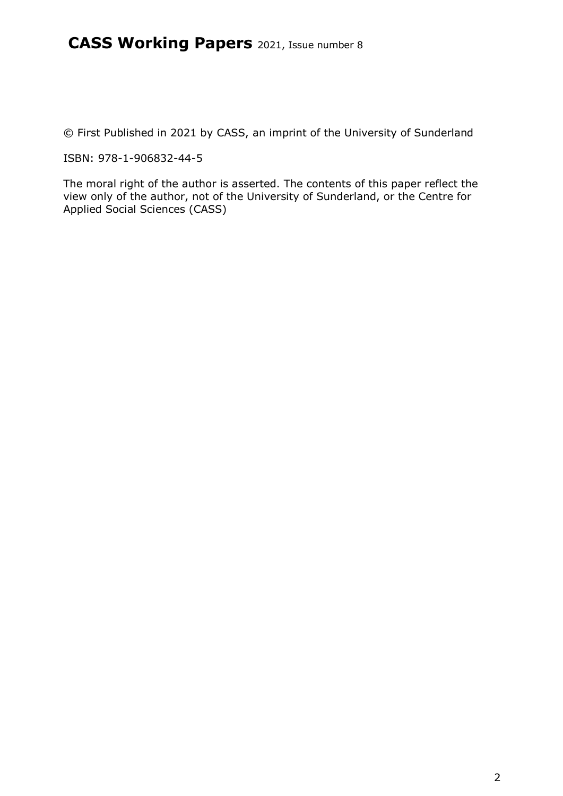© First Published in 2021 by CASS, an imprint of the University of Sunderland

ISBN: 978-1-906832-44-5

The moral right of the author is asserted. The contents of this paper reflect the view only of the author, not of the University of Sunderland, or the Centre for Applied Social Sciences (CASS)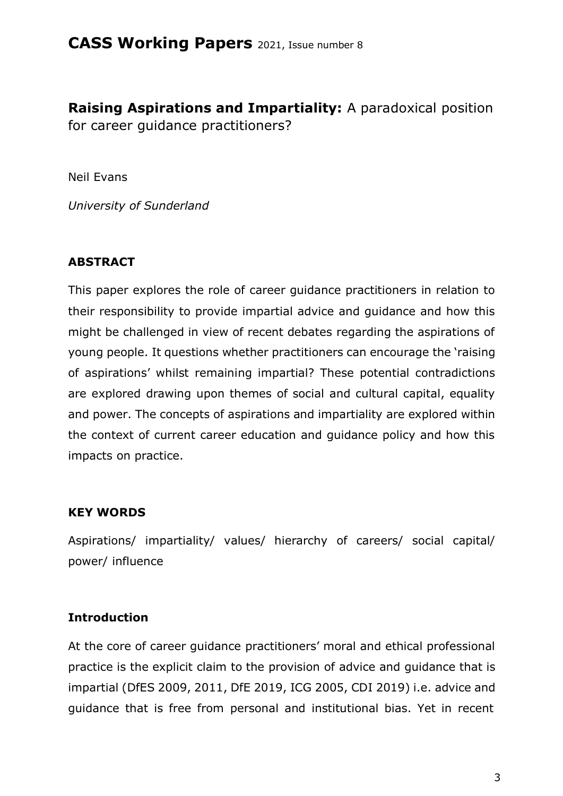**Raising Aspirations and Impartiality:** A paradoxical position for career guidance practitioners?

Neil Evans

*University of Sunderland*

#### **ABSTRACT**

This paper explores the role of career guidance practitioners in relation to their responsibility to provide impartial advice and guidance and how this might be challenged in view of recent debates regarding the aspirations of young people. It questions whether practitioners can encourage the 'raising of aspirations' whilst remaining impartial? These potential contradictions are explored drawing upon themes of social and cultural capital, equality and power. The concepts of aspirations and impartiality are explored within the context of current career education and guidance policy and how this impacts on practice.

#### **KEY WORDS**

Aspirations/ impartiality/ values/ hierarchy of careers/ social capital/ power/ influence

#### **Introduction**

At the core of career guidance practitioners' moral and ethical professional practice is the explicit claim to the provision of advice and guidance that is impartial (DfES 2009, 2011, DfE 2019, ICG 2005, CDI 2019) i.e. advice and guidance that is free from personal and institutional bias. Yet in recent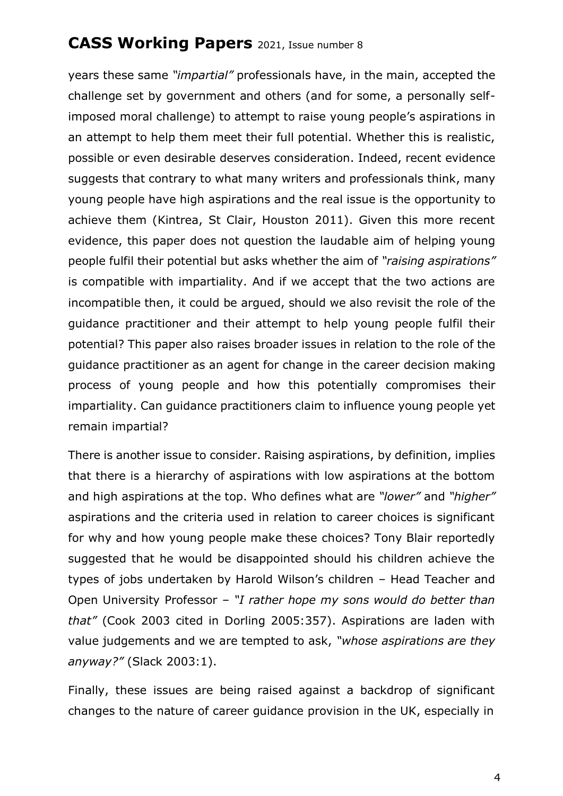years these same *"impartial"* professionals have, in the main, accepted the challenge set by government and others (and for some, a personally selfimposed moral challenge) to attempt to raise young people's aspirations in an attempt to help them meet their full potential. Whether this is realistic, possible or even desirable deserves consideration. Indeed, recent evidence suggests that contrary to what many writers and professionals think, many young people have high aspirations and the real issue is the opportunity to achieve them (Kintrea, St Clair, Houston 2011). Given this more recent evidence, this paper does not question the laudable aim of helping young people fulfil their potential but asks whether the aim of *"raising aspirations"* is compatible with impartiality. And if we accept that the two actions are incompatible then, it could be argued, should we also revisit the role of the guidance practitioner and their attempt to help young people fulfil their potential? This paper also raises broader issues in relation to the role of the guidance practitioner as an agent for change in the career decision making process of young people and how this potentially compromises their impartiality. Can guidance practitioners claim to influence young people yet remain impartial?

There is another issue to consider. Raising aspirations, by definition, implies that there is a hierarchy of aspirations with low aspirations at the bottom and high aspirations at the top. Who defines what are *"lower"* and *"higher"* aspirations and the criteria used in relation to career choices is significant for why and how young people make these choices? Tony Blair reportedly suggested that he would be disappointed should his children achieve the types of jobs undertaken by Harold Wilson's children – Head Teacher and Open University Professor – *"I rather hope my sons would do better than that"* (Cook 2003 cited in Dorling 2005:357). Aspirations are laden with value judgements and we are tempted to ask, *"whose aspirations are they anyway?"* (Slack 2003:1).

Finally, these issues are being raised against a backdrop of significant changes to the nature of career guidance provision in the UK, especially in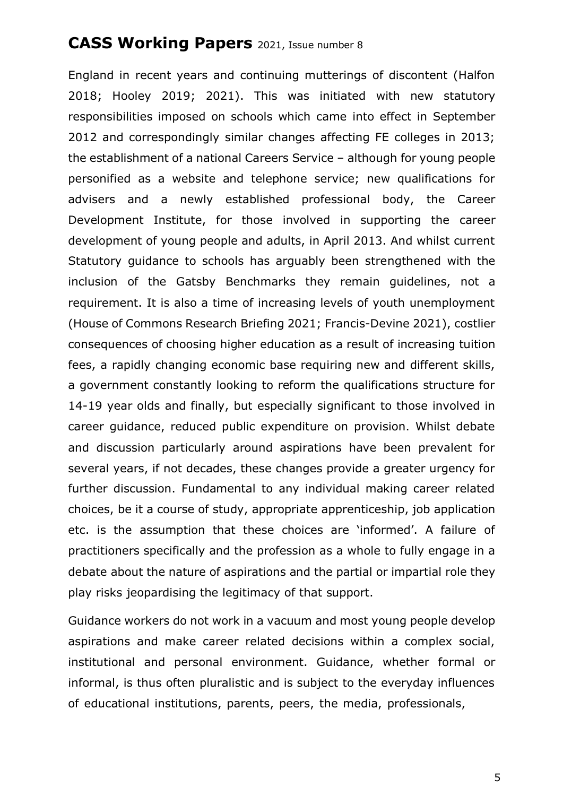England in recent years and continuing mutterings of discontent (Halfon 2018; Hooley 2019; 2021). This was initiated with new statutory responsibilities imposed on schools which came into effect in September 2012 and correspondingly similar changes affecting FE colleges in 2013; the establishment of a national Careers Service – although for young people personified as a website and telephone service; new qualifications for advisers and a newly established professional body, the Career Development Institute, for those involved in supporting the career development of young people and adults, in April 2013. And whilst current Statutory guidance to schools has arguably been strengthened with the inclusion of the Gatsby Benchmarks they remain guidelines, not a requirement. It is also a time of increasing levels of youth unemployment (House of Commons Research Briefing 2021; Francis-Devine 2021), costlier consequences of choosing higher education as a result of increasing tuition fees, a rapidly changing economic base requiring new and different skills, a government constantly looking to reform the qualifications structure for 14-19 year olds and finally, but especially significant to those involved in career guidance, reduced public expenditure on provision. Whilst debate and discussion particularly around aspirations have been prevalent for several years, if not decades, these changes provide a greater urgency for further discussion. Fundamental to any individual making career related choices, be it a course of study, appropriate apprenticeship, job application etc. is the assumption that these choices are 'informed'. A failure of practitioners specifically and the profession as a whole to fully engage in a debate about the nature of aspirations and the partial or impartial role they play risks jeopardising the legitimacy of that support.

Guidance workers do not work in a vacuum and most young people develop aspirations and make career related decisions within a complex social, institutional and personal environment. Guidance, whether formal or informal, is thus often pluralistic and is subject to the everyday influences of educational institutions, parents, peers, the media, professionals,

5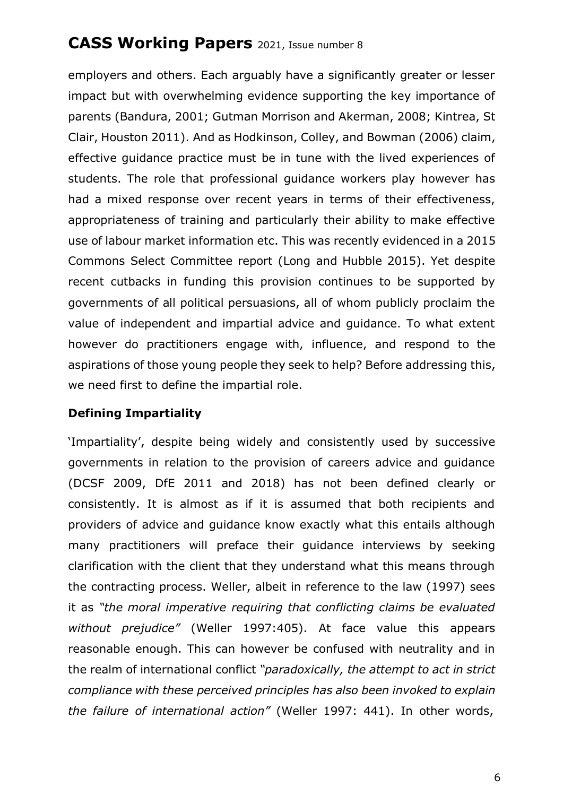employers and others. Each arguably have a significantly greater or lesser impact but with overwhelming evidence supporting the key importance of parents (Bandura, 2001; Gutman Morrison and Akerman, 2008; Kintrea, St Clair, Houston 2011). And as Hodkinson, Colley, and Bowman (2006) claim, effective guidance practice must be in tune with the lived experiences of students. The role that professional guidance workers play however has had a mixed response over recent years in terms of their effectiveness, appropriateness of training and particularly their ability to make effective use of labour market information etc. This was recently evidenced in a 2015 Commons Select Committee report (Long and Hubble 2015). Yet despite recent cutbacks in funding this provision continues to be supported by governments of all political persuasions, all of whom publicly proclaim the value of independent and impartial advice and guidance. To what extent however do practitioners engage with, influence, and respond to the aspirations of those young people they seek to help? Before addressing this, we need first to define the impartial role.

#### **Defining Impartiality**

'Impartiality', despite being widely and consistently used by successive governments in relation to the provision of careers advice and guidance (DCSF 2009, DfE 2011 and 2018) has not been defined clearly or consistently. It is almost as if it is assumed that both recipients and providers of advice and guidance know exactly what this entails although many practitioners will preface their guidance interviews by seeking clarification with the client that they understand what this means through the contracting process. Weller, albeit in reference to the law (1997) sees it as *"the moral imperative requiring that conflicting claims be evaluated without prejudice"* (Weller 1997:405). At face value this appears reasonable enough. This can however be confused with neutrality and in the realm of international conflict *"paradoxically, the attempt to act in strict compliance with these perceived principles has also been invoked to explain the failure of international action"* (Weller 1997: 441). In other words,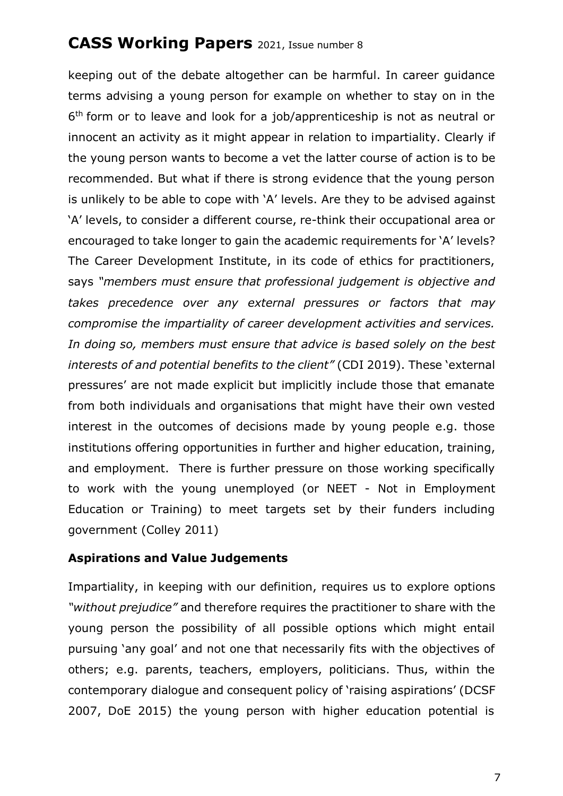keeping out of the debate altogether can be harmful. In career guidance terms advising a young person for example on whether to stay on in the 6<sup>th</sup> form or to leave and look for a job/apprenticeship is not as neutral or innocent an activity as it might appear in relation to impartiality. Clearly if the young person wants to become a vet the latter course of action is to be recommended. But what if there is strong evidence that the young person is unlikely to be able to cope with 'A' levels. Are they to be advised against 'A' levels, to consider a different course, re-think their occupational area or encouraged to take longer to gain the academic requirements for 'A' levels? The Career Development Institute, in its code of ethics for practitioners, says *"members must ensure that professional judgement is objective and takes precedence over any external pressures or factors that may compromise the impartiality of career development activities and services. In doing so, members must ensure that advice is based solely on the best interests of and potential benefits to the client"* (CDI 2019). These 'external pressures' are not made explicit but implicitly include those that emanate from both individuals and organisations that might have their own vested interest in the outcomes of decisions made by young people e.g. those institutions offering opportunities in further and higher education, training, and employment. There is further pressure on those working specifically to work with the young unemployed (or NEET - Not in Employment Education or Training) to meet targets set by their funders including government (Colley 2011)

#### **Aspirations and Value Judgements**

Impartiality, in keeping with our definition, requires us to explore options *"without prejudice"* and therefore requires the practitioner to share with the young person the possibility of all possible options which might entail pursuing 'any goal' and not one that necessarily fits with the objectives of others; e.g. parents, teachers, employers, politicians. Thus, within the contemporary dialogue and consequent policy of 'raising aspirations' (DCSF 2007, DoE 2015) the young person with higher education potential is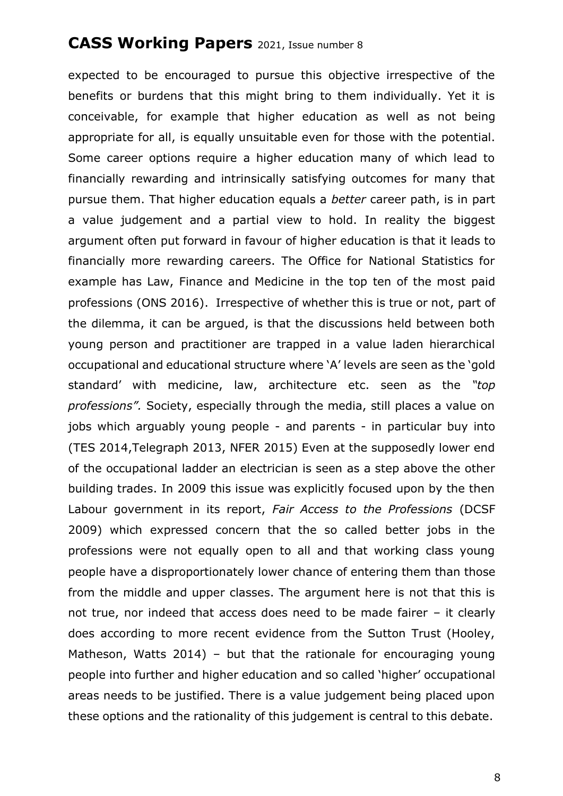expected to be encouraged to pursue this objective irrespective of the benefits or burdens that this might bring to them individually. Yet it is conceivable, for example that higher education as well as not being appropriate for all, is equally unsuitable even for those with the potential. Some career options require a higher education many of which lead to financially rewarding and intrinsically satisfying outcomes for many that pursue them. That higher education equals a *better* career path, is in part a value judgement and a partial view to hold. In reality the biggest argument often put forward in favour of higher education is that it leads to financially more rewarding careers. The Office for National Statistics for example has Law, Finance and Medicine in the top ten of the most paid professions (ONS 2016). Irrespective of whether this is true or not, part of the dilemma, it can be argued, is that the discussions held between both young person and practitioner are trapped in a value laden hierarchical occupational and educational structure where 'A' levels are seen as the 'gold standard' with medicine, law, architecture etc. seen as the *"top professions".* Society, especially through the media, still places a value on jobs which arguably young people - and parents - in particular buy into (TES 2014,Telegraph 2013, NFER 2015) Even at the supposedly lower end of the occupational ladder an electrician is seen as a step above the other building trades. In 2009 this issue was explicitly focused upon by the then Labour government in its report, *Fair Access to the Professions* (DCSF 2009) which expressed concern that the so called better jobs in the professions were not equally open to all and that working class young people have a disproportionately lower chance of entering them than those from the middle and upper classes. The argument here is not that this is not true, nor indeed that access does need to be made fairer – it clearly does according to more recent evidence from the Sutton Trust (Hooley, Matheson, Watts 2014) – but that the rationale for encouraging young people into further and higher education and so called 'higher' occupational areas needs to be justified. There is a value judgement being placed upon these options and the rationality of this judgement is central to this debate.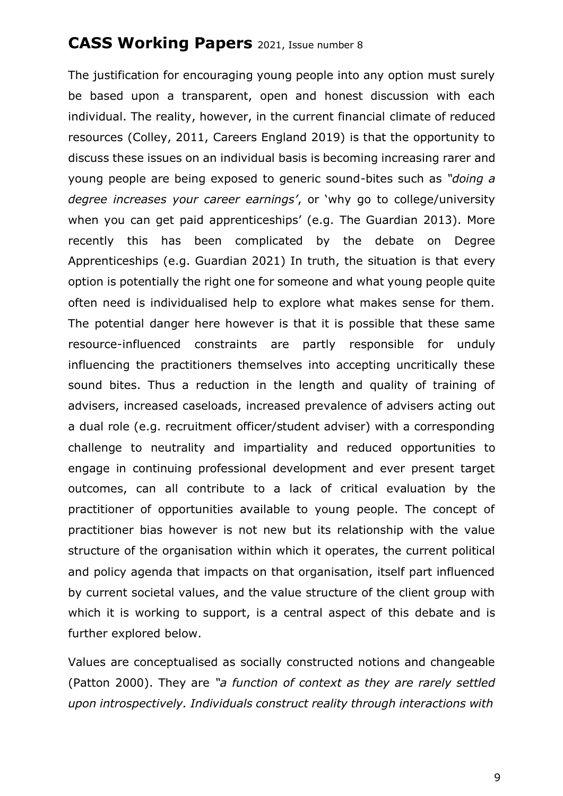The justification for encouraging young people into any option must surely be based upon a transparent, open and honest discussion with each individual. The reality, however, in the current financial climate of reduced resources (Colley, 2011, Careers England 2019) is that the opportunity to discuss these issues on an individual basis is becoming increasing rarer and young people are being exposed to generic sound-bites such as *"doing a degree increases your career earnings'*, or 'why go to college/university when you can get paid apprenticeships' (e.g. The Guardian 2013). More recently this has been complicated by the debate on Degree Apprenticeships (e.g. Guardian 2021) In truth, the situation is that every option is potentially the right one for someone and what young people quite often need is individualised help to explore what makes sense for them. The potential danger here however is that it is possible that these same resource-influenced constraints are partly responsible for unduly influencing the practitioners themselves into accepting uncritically these sound bites. Thus a reduction in the length and quality of training of advisers, increased caseloads, increased prevalence of advisers acting out a dual role (e.g. recruitment officer/student adviser) with a corresponding challenge to neutrality and impartiality and reduced opportunities to engage in continuing professional development and ever present target outcomes, can all contribute to a lack of critical evaluation by the practitioner of opportunities available to young people. The concept of practitioner bias however is not new but its relationship with the value structure of the organisation within which it operates, the current political and policy agenda that impacts on that organisation, itself part influenced by current societal values, and the value structure of the client group with which it is working to support, is a central aspect of this debate and is further explored below.

Values are conceptualised as socially constructed notions and changeable (Patton 2000). They are *"a function of context as they are rarely settled upon introspectively. Individuals construct reality through interactions with*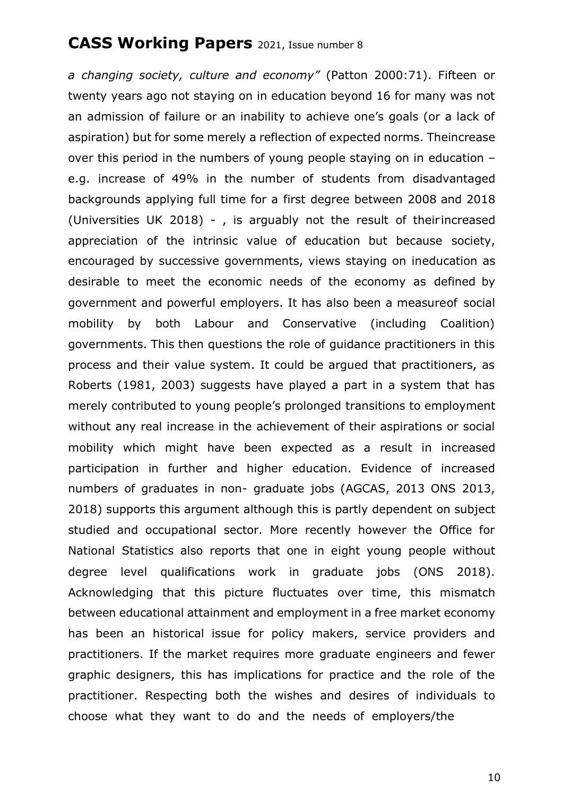*a changing society, culture and economy"* (Patton 2000:71). Fifteen or twenty years ago not staying on in education beyond 16 for many was not an admission of failure or an inability to achieve one's goals (or a lack of aspiration) but for some merely a reflection of expected norms. Theincrease over this period in the numbers of young people staying on in education – e.g. increase of 49% in the number of students from disadvantaged backgrounds applying full time for a first degree between 2008 and 2018 (Universities UK 2018) - , is arguably not the result of their increased appreciation of the intrinsic value of education but because society, encouraged by successive governments, views staying on ineducation as desirable to meet the economic needs of the economy as defined by government and powerful employers. It has also been a measureof social mobility by both Labour and Conservative (including Coalition) governments. This then questions the role of guidance practitioners in this process and their value system. It could be argued that practitioners, as Roberts (1981, 2003) suggests have played a part in a system that has merely contributed to young people's prolonged transitions to employment without any real increase in the achievement of their aspirations or social mobility which might have been expected as a result in increased participation in further and higher education. Evidence of increased numbers of graduates in non- graduate jobs (AGCAS, 2013 ONS 2013, 2018) supports this argument although this is partly dependent on subject studied and occupational sector. More recently however the Office for National Statistics also reports that one in eight young people without degree level qualifications work in graduate jobs (ONS 2018). Acknowledging that this picture fluctuates over time, this mismatch between educational attainment and employment in a free market economy has been an historical issue for policy makers, service providers and practitioners. If the market requires more graduate engineers and fewer graphic designers, this has implications for practice and the role of the practitioner. Respecting both the wishes and desires of individuals to choose what they want to do and the needs of employers/the

10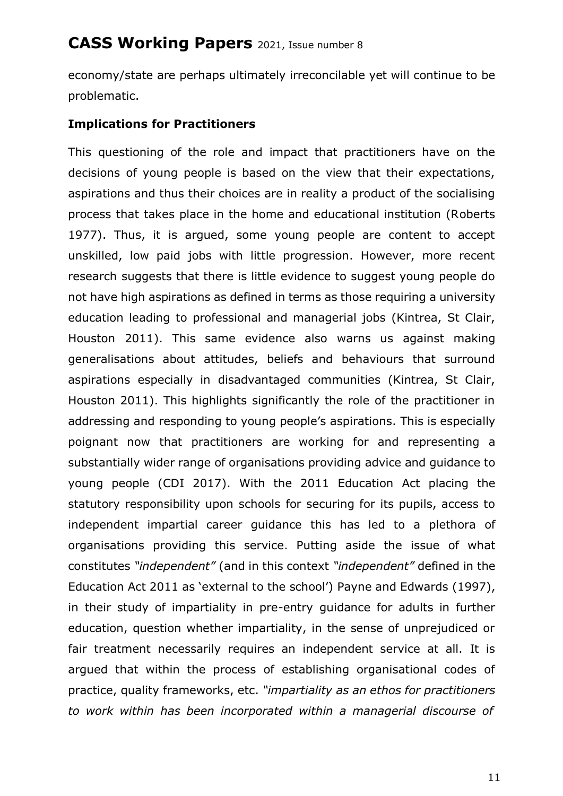economy/state are perhaps ultimately irreconcilable yet will continue to be problematic.

#### **Implications for Practitioners**

This questioning of the role and impact that practitioners have on the decisions of young people is based on the view that their expectations, aspirations and thus their choices are in reality a product of the socialising process that takes place in the home and educational institution (Roberts 1977). Thus, it is argued, some young people are content to accept unskilled, low paid jobs with little progression. However, more recent research suggests that there is little evidence to suggest young people do not have high aspirations as defined in terms as those requiring a university education leading to professional and managerial jobs (Kintrea, St Clair, Houston 2011). This same evidence also warns us against making generalisations about attitudes, beliefs and behaviours that surround aspirations especially in disadvantaged communities (Kintrea, St Clair, Houston 2011). This highlights significantly the role of the practitioner in addressing and responding to young people's aspirations. This is especially poignant now that practitioners are working for and representing a substantially wider range of organisations providing advice and guidance to young people (CDI 2017). With the 2011 Education Act placing the statutory responsibility upon schools for securing for its pupils, access to independent impartial career guidance this has led to a plethora of organisations providing this service. Putting aside the issue of what constitutes *"independent"* (and in this context *"independent"* defined in the Education Act 2011 as 'external to the school') Payne and Edwards (1997), in their study of impartiality in pre-entry guidance for adults in further education, question whether impartiality, in the sense of unprejudiced or fair treatment necessarily requires an independent service at all. It is argued that within the process of establishing organisational codes of practice, quality frameworks, etc. *"impartiality as an ethos for practitioners to work within has been incorporated within a managerial discourse of*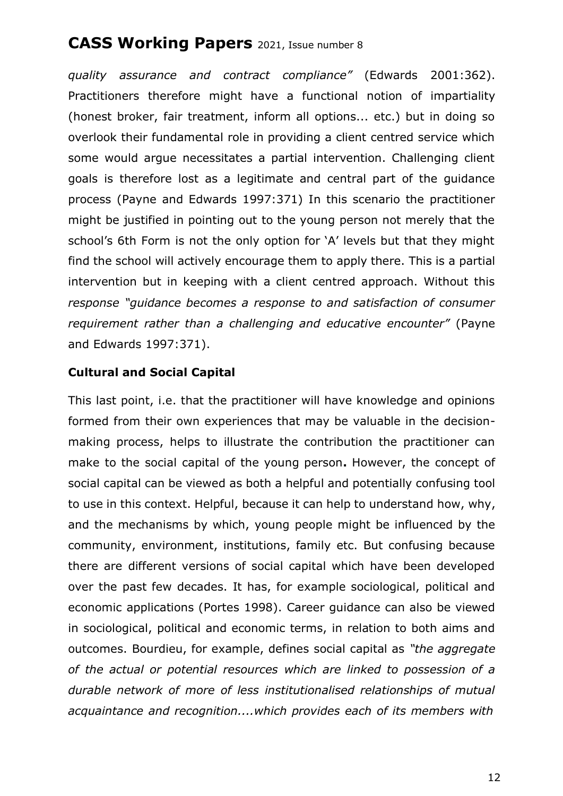*quality assurance and contract compliance"* (Edwards 2001:362). Practitioners therefore might have a functional notion of impartiality (honest broker, fair treatment, inform all options... etc.) but in doing so overlook their fundamental role in providing a client centred service which some would argue necessitates a partial intervention. Challenging client goals is therefore lost as a legitimate and central part of the guidance process (Payne and Edwards 1997:371) In this scenario the practitioner might be justified in pointing out to the young person not merely that the school's 6th Form is not the only option for 'A' levels but that they might find the school will actively encourage them to apply there. This is a partial intervention but in keeping with a client centred approach. Without this *response "guidance becomes a response to and satisfaction of consumer requirement rather than a challenging and educative encounter"* (Payne and Edwards 1997:371).

#### **Cultural and Social Capital**

This last point, i.e. that the practitioner will have knowledge and opinions formed from their own experiences that may be valuable in the decisionmaking process, helps to illustrate the contribution the practitioner can make to the social capital of the young person**.** However, the concept of social capital can be viewed as both a helpful and potentially confusing tool to use in this context. Helpful, because it can help to understand how, why, and the mechanisms by which, young people might be influenced by the community, environment, institutions, family etc. But confusing because there are different versions of social capital which have been developed over the past few decades. It has, for example sociological, political and economic applications (Portes 1998). Career guidance can also be viewed in sociological, political and economic terms, in relation to both aims and outcomes. Bourdieu, for example, defines social capital as *"the aggregate of the actual or potential resources which are linked to possession of a durable network of more of less institutionalised relationships of mutual acquaintance and recognition....which provides each of its members with*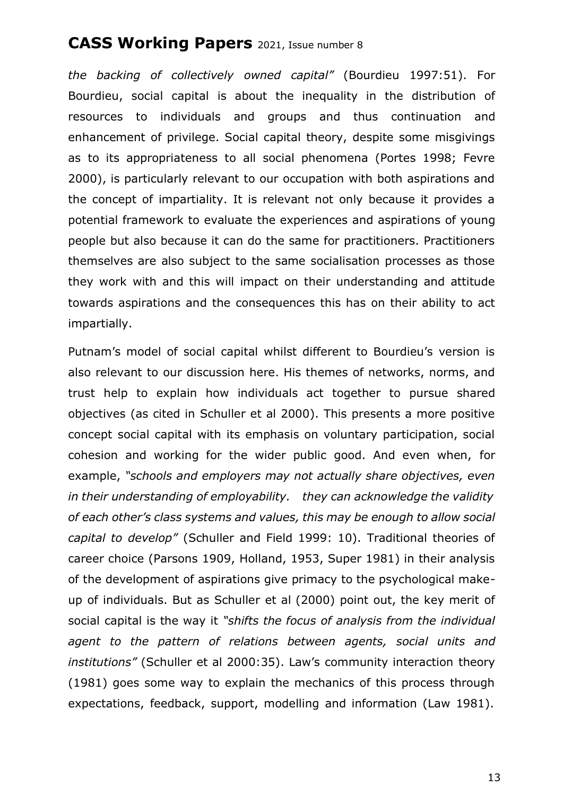*the backing of collectively owned capital"* (Bourdieu 1997:51). For Bourdieu, social capital is about the inequality in the distribution of resources to individuals and groups and thus continuation and enhancement of privilege. Social capital theory, despite some misgivings as to its appropriateness to all social phenomena (Portes 1998; Fevre 2000), is particularly relevant to our occupation with both aspirations and the concept of impartiality. It is relevant not only because it provides a potential framework to evaluate the experiences and aspirations of young people but also because it can do the same for practitioners. Practitioners themselves are also subject to the same socialisation processes as those they work with and this will impact on their understanding and attitude towards aspirations and the consequences this has on their ability to act impartially.

Putnam's model of social capital whilst different to Bourdieu's version is also relevant to our discussion here. His themes of networks, norms, and trust help to explain how individuals act together to pursue shared objectives (as cited in Schuller et al 2000). This presents a more positive concept social capital with its emphasis on voluntary participation, social cohesion and working for the wider public good. And even when, for example, *"schools and employers may not actually share objectives, even in their understanding of employability. they can acknowledge the validity of each other's class systems and values, this may be enough to allow social capital to develop"* (Schuller and Field 1999: 10). Traditional theories of career choice (Parsons 1909, Holland, 1953, Super 1981) in their analysis of the development of aspirations give primacy to the psychological makeup of individuals. But as Schuller et al (2000) point out, the key merit of social capital is the way it *"shifts the focus of analysis from the individual agent to the pattern of relations between agents, social units and institutions"* (Schuller et al 2000:35). Law's community interaction theory (1981) goes some way to explain the mechanics of this process through expectations, feedback, support, modelling and information (Law 1981).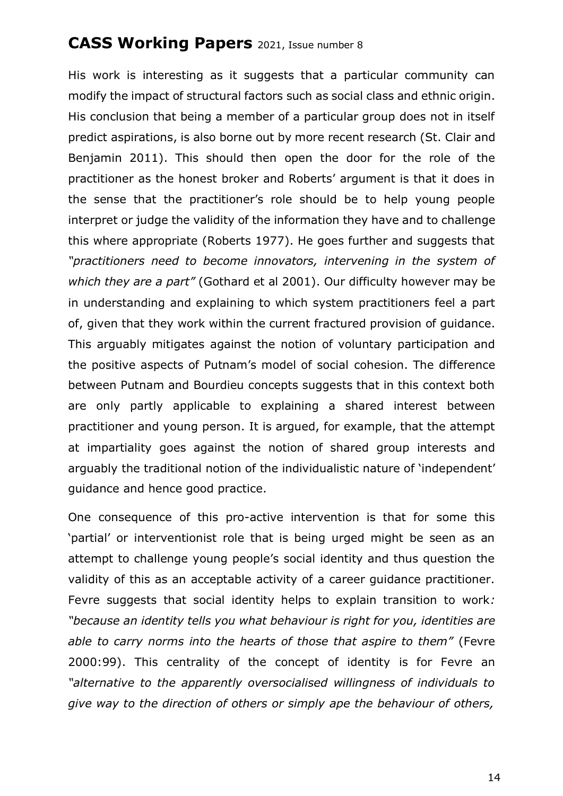His work is interesting as it suggests that a particular community can modify the impact of structural factors such as social class and ethnic origin. His conclusion that being a member of a particular group does not in itself predict aspirations, is also borne out by more recent research (St. Clair and Benjamin 2011). This should then open the door for the role of the practitioner as the honest broker and Roberts' argument is that it does in the sense that the practitioner's role should be to help young people interpret or judge the validity of the information they have and to challenge this where appropriate (Roberts 1977). He goes further and suggests that *"practitioners need to become innovators, intervening in the system of which they are a part"* (Gothard et al 2001). Our difficulty however may be in understanding and explaining to which system practitioners feel a part of, given that they work within the current fractured provision of guidance. This arguably mitigates against the notion of voluntary participation and the positive aspects of Putnam's model of social cohesion. The difference between Putnam and Bourdieu concepts suggests that in this context both are only partly applicable to explaining a shared interest between practitioner and young person. It is argued, for example, that the attempt at impartiality goes against the notion of shared group interests and arguably the traditional notion of the individualistic nature of 'independent' guidance and hence good practice.

One consequence of this pro-active intervention is that for some this 'partial' or interventionist role that is being urged might be seen as an attempt to challenge young people's social identity and thus question the validity of this as an acceptable activity of a career guidance practitioner. Fevre suggests that social identity helps to explain transition to work*: "because an identity tells you what behaviour is right for you, identities are able to carry norms into the hearts of those that aspire to them"* (Fevre 2000:99). This centrality of the concept of identity is for Fevre an *"alternative to the apparently oversocialised willingness of individuals to give way to the direction of others or simply ape the behaviour of others,*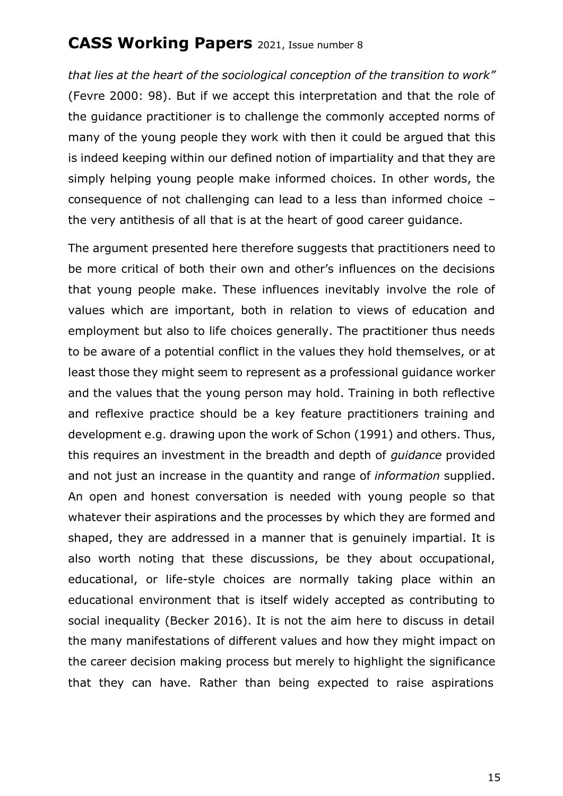*that lies at the heart of the sociological conception of the transition to work"* (Fevre 2000: 98). But if we accept this interpretation and that the role of the guidance practitioner is to challenge the commonly accepted norms of many of the young people they work with then it could be argued that this is indeed keeping within our defined notion of impartiality and that they are simply helping young people make informed choices. In other words, the consequence of not challenging can lead to a less than informed choice – the very antithesis of all that is at the heart of good career guidance.

The argument presented here therefore suggests that practitioners need to be more critical of both their own and other's influences on the decisions that young people make. These influences inevitably involve the role of values which are important, both in relation to views of education and employment but also to life choices generally. The practitioner thus needs to be aware of a potential conflict in the values they hold themselves, or at least those they might seem to represent as a professional guidance worker and the values that the young person may hold. Training in both reflective and reflexive practice should be a key feature practitioners training and development e.g. drawing upon the work of Schon (1991) and others. Thus, this requires an investment in the breadth and depth of *guidance* provided and not just an increase in the quantity and range of *information* supplied. An open and honest conversation is needed with young people so that whatever their aspirations and the processes by which they are formed and shaped, they are addressed in a manner that is genuinely impartial. It is also worth noting that these discussions, be they about occupational, educational, or life-style choices are normally taking place within an educational environment that is itself widely accepted as contributing to social inequality (Becker 2016). It is not the aim here to discuss in detail the many manifestations of different values and how they might impact on the career decision making process but merely to highlight the significance that they can have. Rather than being expected to raise aspirations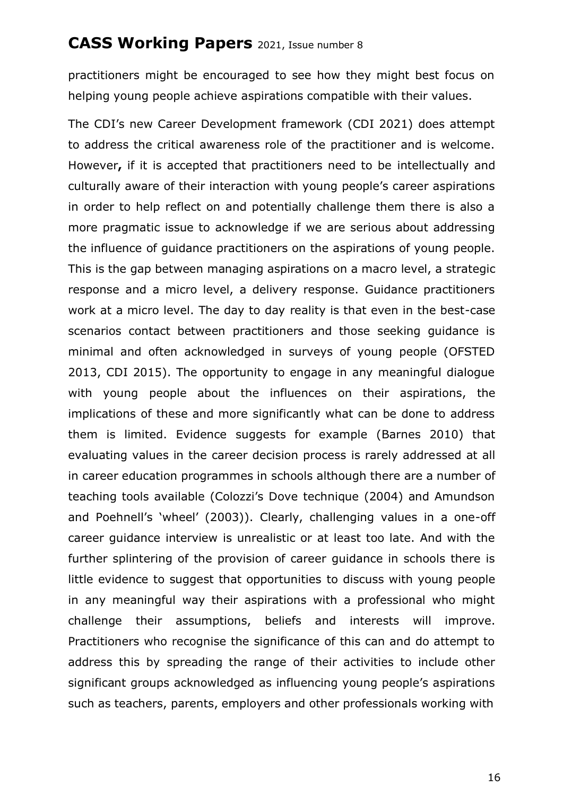practitioners might be encouraged to see how they might best focus on helping young people achieve aspirations compatible with their values.

The CDI's new Career Development framework (CDI 2021) does attempt to address the critical awareness role of the practitioner and is welcome. However**,** if it is accepted that practitioners need to be intellectually and culturally aware of their interaction with young people's career aspirations in order to help reflect on and potentially challenge them there is also a more pragmatic issue to acknowledge if we are serious about addressing the influence of guidance practitioners on the aspirations of young people. This is the gap between managing aspirations on a macro level, a strategic response and a micro level, a delivery response. Guidance practitioners work at a micro level. The day to day reality is that even in the best-case scenarios contact between practitioners and those seeking guidance is minimal and often acknowledged in surveys of young people (OFSTED 2013, CDI 2015). The opportunity to engage in any meaningful dialogue with young people about the influences on their aspirations, the implications of these and more significantly what can be done to address them is limited. Evidence suggests for example (Barnes 2010) that evaluating values in the career decision process is rarely addressed at all in career education programmes in schools although there are a number of teaching tools available (Colozzi's Dove technique (2004) and Amundson and Poehnell's 'wheel' (2003)). Clearly, challenging values in a one-off career guidance interview is unrealistic or at least too late. And with the further splintering of the provision of career guidance in schools there is little evidence to suggest that opportunities to discuss with young people in any meaningful way their aspirations with a professional who might challenge their assumptions, beliefs and interests will improve. Practitioners who recognise the significance of this can and do attempt to address this by spreading the range of their activities to include other significant groups acknowledged as influencing young people's aspirations such as teachers, parents, employers and other professionals working with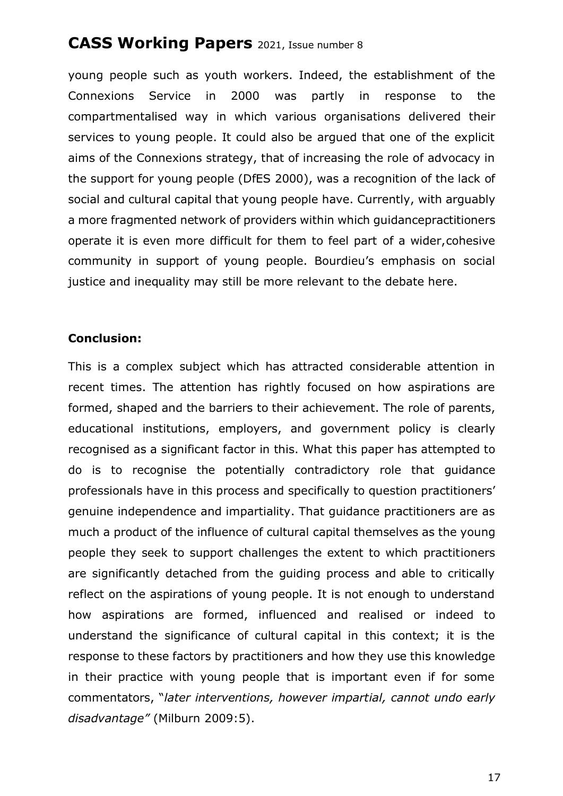young people such as youth workers. Indeed, the establishment of the Connexions Service in 2000 was partly in response to the compartmentalised way in which various organisations delivered their services to young people. It could also be argued that one of the explicit aims of the Connexions strategy, that of increasing the role of advocacy in the support for young people (DfES 2000), was a recognition of the lack of social and cultural capital that young people have. Currently, with arguably a more fragmented network of providers within which guidancepractitioners operate it is even more difficult for them to feel part of a wider,cohesive community in support of young people. Bourdieu's emphasis on social justice and inequality may still be more relevant to the debate here.

#### **Conclusion:**

This is a complex subject which has attracted considerable attention in recent times. The attention has rightly focused on how aspirations are formed, shaped and the barriers to their achievement. The role of parents, educational institutions, employers, and government policy is clearly recognised as a significant factor in this. What this paper has attempted to do is to recognise the potentially contradictory role that guidance professionals have in this process and specifically to question practitioners' genuine independence and impartiality. That guidance practitioners are as much a product of the influence of cultural capital themselves as the young people they seek to support challenges the extent to which practitioners are significantly detached from the guiding process and able to critically reflect on the aspirations of young people. It is not enough to understand how aspirations are formed, influenced and realised or indeed to understand the significance of cultural capital in this context; it is the response to these factors by practitioners and how they use this knowledge in their practice with young people that is important even if for some commentators, "*later interventions, however impartial, cannot undo early disadvantage"* (Milburn 2009:5).

17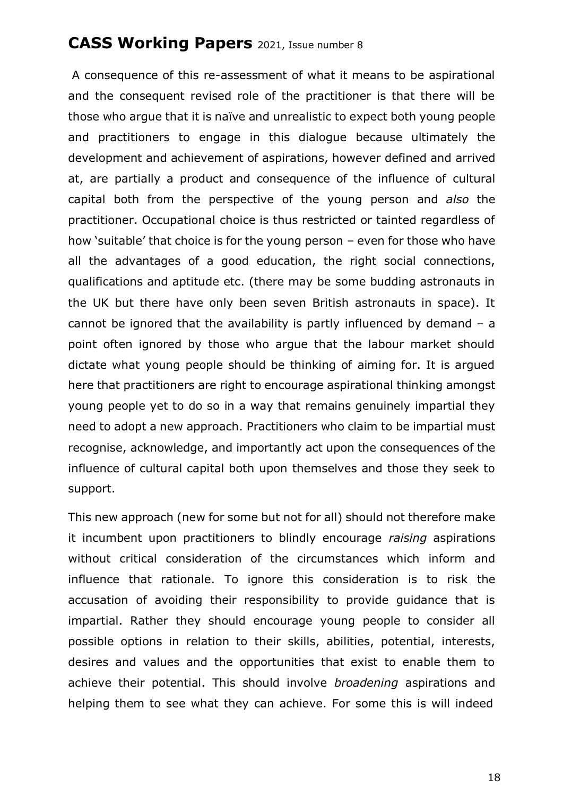A consequence of this re-assessment of what it means to be aspirational and the consequent revised role of the practitioner is that there will be those who argue that it is naïve and unrealistic to expect both young people and practitioners to engage in this dialogue because ultimately the development and achievement of aspirations, however defined and arrived at, are partially a product and consequence of the influence of cultural capital both from the perspective of the young person and *also* the practitioner. Occupational choice is thus restricted or tainted regardless of how 'suitable' that choice is for the young person – even for those who have all the advantages of a good education, the right social connections, qualifications and aptitude etc. (there may be some budding astronauts in the UK but there have only been seven British astronauts in space). It cannot be ignored that the availability is partly influenced by demand – a point often ignored by those who argue that the labour market should dictate what young people should be thinking of aiming for. It is argued here that practitioners are right to encourage aspirational thinking amongst young people yet to do so in a way that remains genuinely impartial they need to adopt a new approach. Practitioners who claim to be impartial must recognise, acknowledge, and importantly act upon the consequences of the influence of cultural capital both upon themselves and those they seek to support.

This new approach (new for some but not for all) should not therefore make it incumbent upon practitioners to blindly encourage *raising* aspirations without critical consideration of the circumstances which inform and influence that rationale. To ignore this consideration is to risk the accusation of avoiding their responsibility to provide guidance that is impartial. Rather they should encourage young people to consider all possible options in relation to their skills, abilities, potential, interests, desires and values and the opportunities that exist to enable them to achieve their potential. This should involve *broadening* aspirations and helping them to see what they can achieve. For some this is will indeed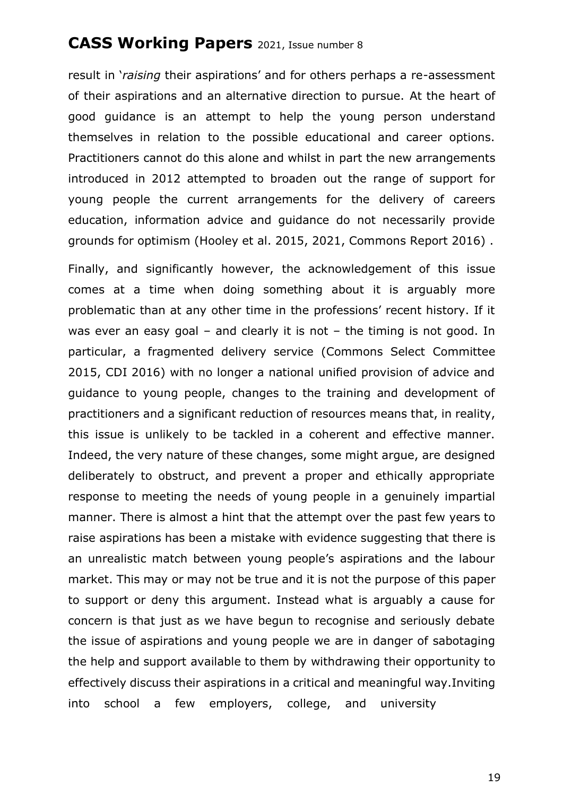result in '*raising* their aspirations' and for others perhaps a re-assessment of their aspirations and an alternative direction to pursue. At the heart of good guidance is an attempt to help the young person understand themselves in relation to the possible educational and career options. Practitioners cannot do this alone and whilst in part the new arrangements introduced in 2012 attempted to broaden out the range of support for young people the current arrangements for the delivery of careers education, information advice and guidance do not necessarily provide grounds for optimism (Hooley et al. 2015, 2021, Commons Report 2016) .

Finally, and significantly however, the acknowledgement of this issue comes at a time when doing something about it is arguably more problematic than at any other time in the professions' recent history. If it was ever an easy goal – and clearly it is not – the timing is not good. In particular, a fragmented delivery service (Commons Select Committee 2015, CDI 2016) with no longer a national unified provision of advice and guidance to young people, changes to the training and development of practitioners and a significant reduction of resources means that, in reality, this issue is unlikely to be tackled in a coherent and effective manner. Indeed, the very nature of these changes, some might argue, are designed deliberately to obstruct, and prevent a proper and ethically appropriate response to meeting the needs of young people in a genuinely impartial manner. There is almost a hint that the attempt over the past few years to raise aspirations has been a mistake with evidence suggesting that there is an unrealistic match between young people's aspirations and the labour market. This may or may not be true and it is not the purpose of this paper to support or deny this argument. Instead what is arguably a cause for concern is that just as we have begun to recognise and seriously debate the issue of aspirations and young people we are in danger of sabotaging the help and support available to them by withdrawing their opportunity to effectively discuss their aspirations in a critical and meaningful way.Inviting into school a few employers, college, and university

19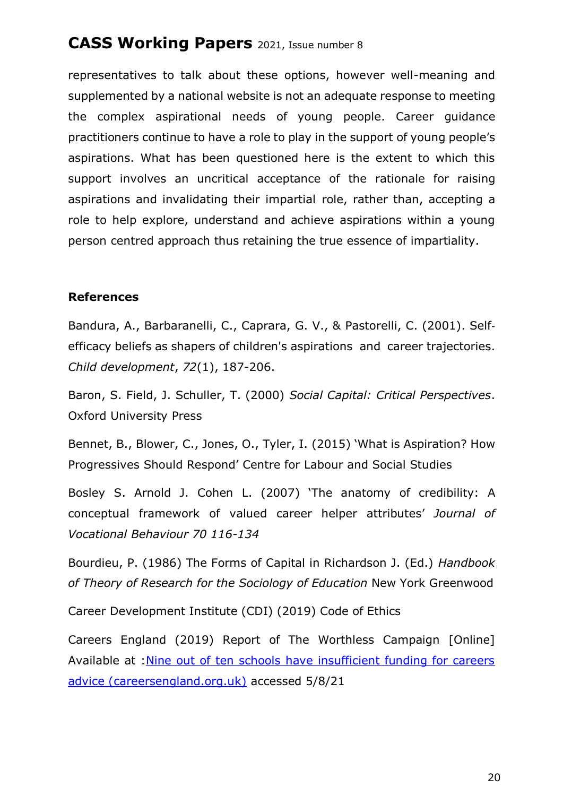representatives to talk about these options, however well-meaning and supplemented by a national website is not an adequate response to meeting the complex aspirational needs of young people. Career guidance practitioners continue to have a role to play in the support of young people's aspirations. What has been questioned here is the extent to which this support involves an uncritical acceptance of the rationale for raising aspirations and invalidating their impartial role, rather than, accepting a role to help explore, understand and achieve aspirations within a young person centred approach thus retaining the true essence of impartiality.

#### **References**

Bandura, A., Barbaranelli, C., Caprara, G. V., & Pastorelli, C. (2001). Self‐ efficacy beliefs as shapers of children's aspirations and career trajectories. *Child development*, *72*(1), 187-206.

Baron, S. Field, J. Schuller, T. (2000) *Social Capital: Critical Perspectives*. Oxford University Press

Bennet, B., Blower, C., Jones, O., Tyler, I. (2015) 'What is Aspiration? How Progressives Should Respond' Centre for Labour and Social Studies

Bosley S. Arnold J. Cohen L. (2007) 'The anatomy of credibility: A conceptual framework of valued career helper attributes' *Journal of Vocational Behaviour 70 116-134*

Bourdieu, P. (1986) The Forms of Capital in Richardson J. (Ed.) *Handbook of Theory of Research for the Sociology of Education* New York Greenwood

Career Development Institute (CDI) (2019) Code of Ethics

Careers England (2019) Report of The Worthless Campaign [Online] Available at [:Nine out of ten schools have insufficient funding for careers](https://www.careersengland.org.uk/2019/11/11/nine-out-of-ten-schools-have-insufficient-funding-for-careers-advice/) advice [\(careersengland.org.uk\)](https://www.careersengland.org.uk/2019/11/11/nine-out-of-ten-schools-have-insufficient-funding-for-careers-advice/) accessed 5/8/21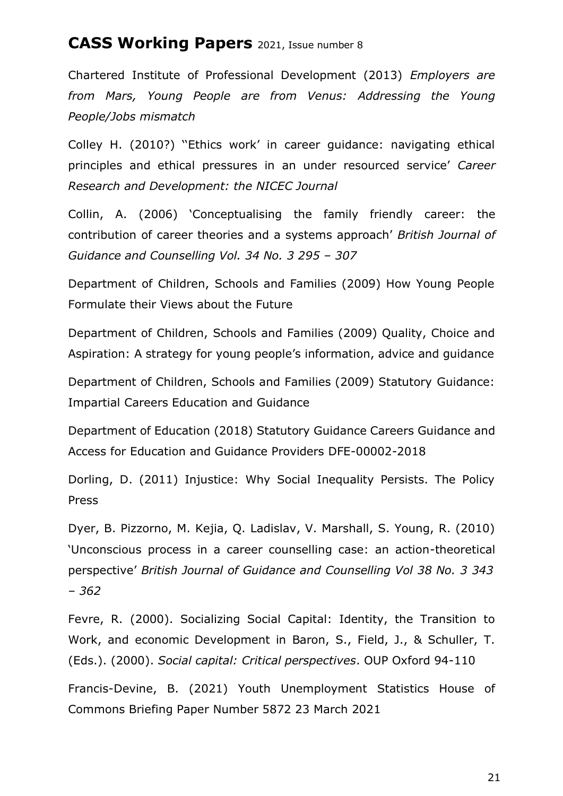Chartered Institute of Professional Development (2013) *Employers are from Mars, Young People are from Venus: Addressing the Young People/Jobs mismatch*

Colley H. (2010?) ''Ethics work' in career guidance: navigating ethical principles and ethical pressures in an under resourced service' *Career Research and Development: the NICEC Journal*

Collin, A. (2006) 'Conceptualising the family friendly career: the contribution of career theories and a systems approach' *British Journal of Guidance and Counselling Vol. 34 No. 3 295 – 307*

Department of Children, Schools and Families (2009) How Young People Formulate their Views about the Future

Department of Children, Schools and Families (2009) Quality, Choice and Aspiration: A strategy for young people's information, advice and guidance

Department of Children, Schools and Families (2009) Statutory Guidance: Impartial Careers Education and Guidance

Department of Education (2018) Statutory Guidance Careers Guidance and Access for Education and Guidance Providers DFE-00002-2018

Dorling, D. (2011) Injustice: Why Social Inequality Persists. The Policy Press

Dyer, B. Pizzorno, M. Kejia, Q. Ladislav, V. Marshall, S. Young, R. (2010) 'Unconscious process in a career counselling case: an action-theoretical perspective' *British Journal of Guidance and Counselling Vol 38 No. 3 343 – 362*

Fevre, R. (2000). Socializing Social Capital: Identity, the Transition to Work, and economic Development in Baron, S., Field, J., & Schuller, T. (Eds.). (2000). *Social capital: Critical perspectives*. OUP Oxford 94-110

Francis-Devine, B. (2021) Youth Unemployment Statistics House of Commons Briefing Paper Number 5872 23 March 2021

21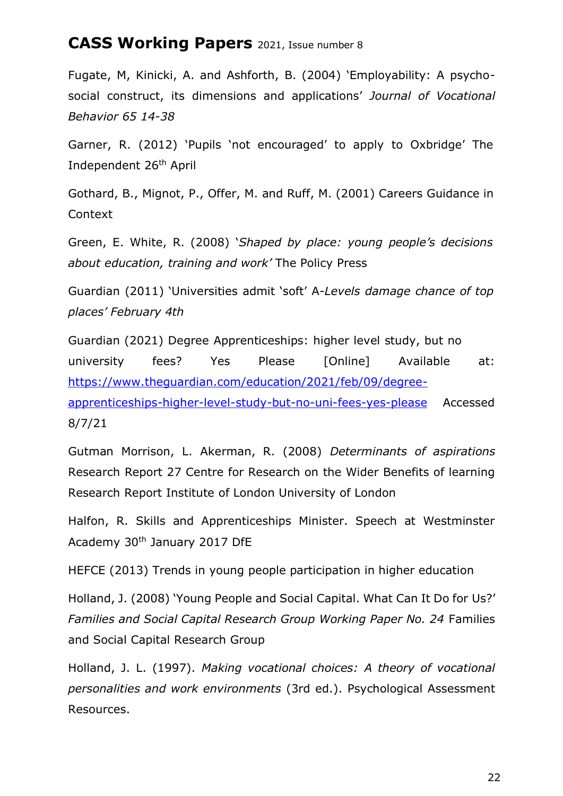Fugate, M, Kinicki, A. and Ashforth, B. (2004) 'Employability: A psychosocial construct, its dimensions and applications' *Journal of Vocational Behavior 65 14-38*

Garner, R. (2012) 'Pupils 'not encouraged' to apply to Oxbridge' The Independent 26th April

Gothard, B., Mignot, P., Offer, M. and Ruff, M. (2001) Careers Guidance in Context

Green, E. White, R. (2008) '*Shaped by place: young people's decisions about education, training and work'* The Policy Press

Guardian (2011) 'Universities admit 'soft' A*-Levels damage chance of top places' February 4th*

Guardian (2021) Degree Apprenticeships: higher level study, but no university fees? Yes Please [Online] Available at: [https://www.theguardian.com/education/2021/feb/09/degree](https://www.theguardian.com/education/2021/feb/09/degree-apprenticeships-higher-level-study-but-no-uni-fees-yes-please)[apprenticeships-higher-level-study-but-no-uni-fees-yes-please](https://www.theguardian.com/education/2021/feb/09/degree-apprenticeships-higher-level-study-but-no-uni-fees-yes-please) Accessed 8/7/21

Gutman Morrison, L. Akerman, R. (2008) *Determinants of aspirations* Research Report 27 Centre for Research on the Wider Benefits of learning Research Report Institute of London University of London

Halfon, R. Skills and Apprenticeships Minister. Speech at Westminster Academy 30th January 2017 DfE

HEFCE (2013) Trends in young people participation in higher education

Holland, J. (2008) 'Young People and Social Capital. What Can It Do for Us?' *Families and Social Capital Research Group Working Paper No. 24* Families and Social Capital Research Group

Holland, J. L. (1997). *Making vocational choices: A theory of vocational personalities and work environments* (3rd ed.). Psychological Assessment Resources.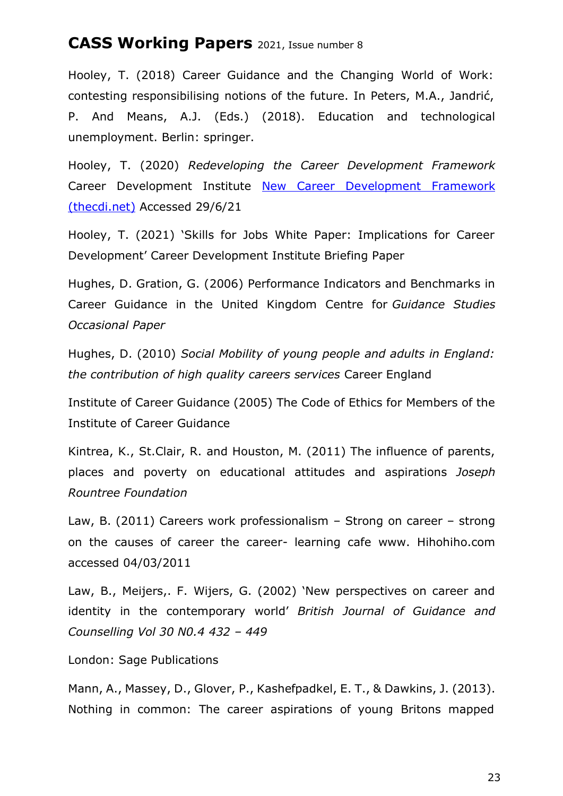Hooley, T. (2018) Career Guidance and the Changing World of Work: contesting responsibilising notions of the future. In Peters, M.A., Jandrić, P. And Means, A.J. (Eds.) (2018). Education and technological unemployment. Berlin: springer.

Hooley, T. (2020) *Redeveloping the Career Development Framework* Career Development Institute New Career [Development](https://www.thecdi.net/New-Career-Development-Framework) Framework [\(thecdi.net\)](https://www.thecdi.net/New-Career-Development-Framework) Accessed 29/6/21

Hooley, T. (2021) 'Skills for Jobs White Paper: Implications for Career Development' Career Development Institute Briefing Paper

Hughes, D. Gration, G. (2006) Performance Indicators and Benchmarks in Career Guidance in the United Kingdom Centre for *Guidance Studies Occasional Paper*

Hughes, D. (2010) *Social Mobility of young people and adults in England: the contribution of high quality careers services* Career England

Institute of Career Guidance (2005) The Code of Ethics for Members of the Institute of Career Guidance

Kintrea, K., St.Clair, R. and Houston, M. (2011) The influence of parents, places and poverty on educational attitudes and aspirations *Joseph Rountree Foundation*

Law, B. (2011) Careers work professionalism – Strong on career – strong on the causes of career the career- learning cafe [www.](http://www/) Hihohiho.com accessed 04/03/2011

Law, B., Meijers,. F. Wijers, G. (2002) 'New perspectives on career and identity in the contemporary world' *British Journal of Guidance and Counselling Vol 30 N0.4 432 – 449*

London: Sage Publications

Mann, A., Massey, D., Glover, P., Kashefpadkel, E. T., & Dawkins, J. (2013). Nothing in common: The career aspirations of young Britons mapped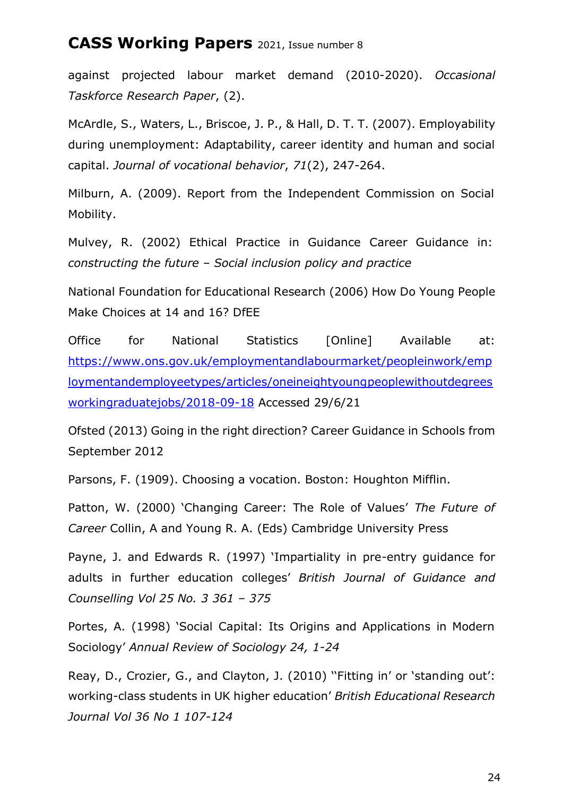against projected labour market demand (2010-2020). *Occasional Taskforce Research Paper*, (2).

McArdle, S., Waters, L., Briscoe, J. P., & Hall, D. T. T. (2007). Employability during unemployment: Adaptability, career identity and human and social capital. *Journal of vocational behavior*, *71*(2), 247-264.

Milburn, A. (2009). Report from the Independent Commission on Social Mobility.

Mulvey, R. (2002) Ethical Practice in Guidance Career Guidance in: *constructing the future – Social inclusion policy and practice*

National Foundation for Educational Research (2006) How Do Young People Make Choices at 14 and 16? DfEE

Office for National Statistics [Online] Available at: [https://www.ons.gov.uk/employmentandlabourmarket/peopleinwork/emp](https://www.ons.gov.uk/employmentandlabourmarket/peopleinwork/employmentandemployeetypes/articles/oneineightyoungpeoplewithoutdegreesworkingraduatejobs/2018-09-18) [loymentandemployeetypes/articles/oneineightyoungpeoplewithoutdegrees](https://www.ons.gov.uk/employmentandlabourmarket/peopleinwork/employmentandemployeetypes/articles/oneineightyoungpeoplewithoutdegreesworkingraduatejobs/2018-09-18) [workingraduatejobs/2018-09-18](https://www.ons.gov.uk/employmentandlabourmarket/peopleinwork/employmentandemployeetypes/articles/oneineightyoungpeoplewithoutdegreesworkingraduatejobs/2018-09-18) Accessed 29/6/21

Ofsted (2013) Going in the right direction? Career Guidance in Schools from September 2012

Parsons, F. (1909). Choosing a vocation. Boston: Houghton Mifflin.

Patton, W. (2000) 'Changing Career: The Role of Values' *The Future of Career* Collin, A and Young R. A. (Eds) Cambridge University Press

Payne, J. and Edwards R. (1997) 'Impartiality in pre-entry guidance for adults in further education colleges' *British Journal of Guidance and Counselling Vol 25 No. 3 361 – 375*

Portes, A. (1998) 'Social Capital: Its Origins and Applications in Modern Sociology' *Annual Review of Sociology 24, 1-24*

Reay, D., Crozier, G., and Clayton, J. (2010) ''Fitting in' or 'standing out': working-class students in UK higher education' *British Educational Research Journal Vol 36 No 1 107-124*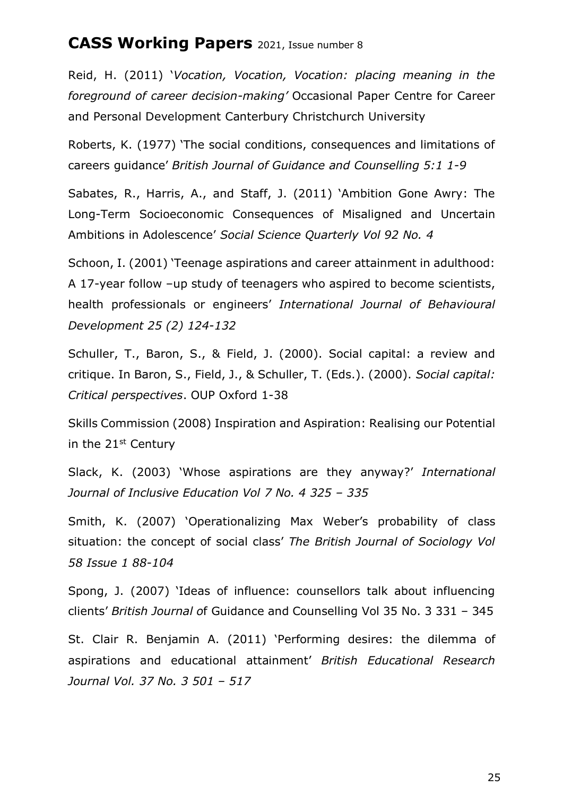Reid, H. (2011) '*Vocation, Vocation, Vocation: placing meaning in the foreground of career decision-making'* Occasional Paper Centre for Career and Personal Development Canterbury Christchurch University

Roberts, K. (1977) 'The social conditions, consequences and limitations of careers guidance' *British Journal of Guidance and Counselling 5:1 1-9*

Sabates, R., Harris, A., and Staff, J. (2011) 'Ambition Gone Awry: The Long-Term Socioeconomic Consequences of Misaligned and Uncertain Ambitions in Adolescence' *Social Science Quarterly Vol 92 No. 4*

Schoon, I. (2001) 'Teenage aspirations and career attainment in adulthood: A 17-year follow –up study of teenagers who aspired to become scientists, health professionals or engineers' *International Journal of Behavioural Development 25 (2) 124-132*

Schuller, T., Baron, S., & Field, J. (2000). Social capital: a review and critique. In Baron, S., Field, J., & Schuller, T. (Eds.). (2000). *Social capital: Critical perspectives*. OUP Oxford 1-38

Skills Commission (2008) Inspiration and Aspiration: Realising our Potential in the  $21<sup>st</sup>$  Century

Slack, K. (2003) 'Whose aspirations are they anyway?' *International Journal of Inclusive Education Vol 7 No. 4 325 – 335*

Smith, K. (2007) 'Operationalizing Max Weber's probability of class situation: the concept of social class' *The British Journal of Sociology Vol 58 Issue 1 88-104*

Spong, J. (2007) 'Ideas of influence: counsellors talk about influencing clients' *British Journal o*f Guidance and Counselling Vol 35 No. 3 331 – 345

St. Clair R. Benjamin A. (2011) 'Performing desires: the dilemma of aspirations and educational attainment' *British Educational Research Journal Vol. 37 No. 3 501 – 517*